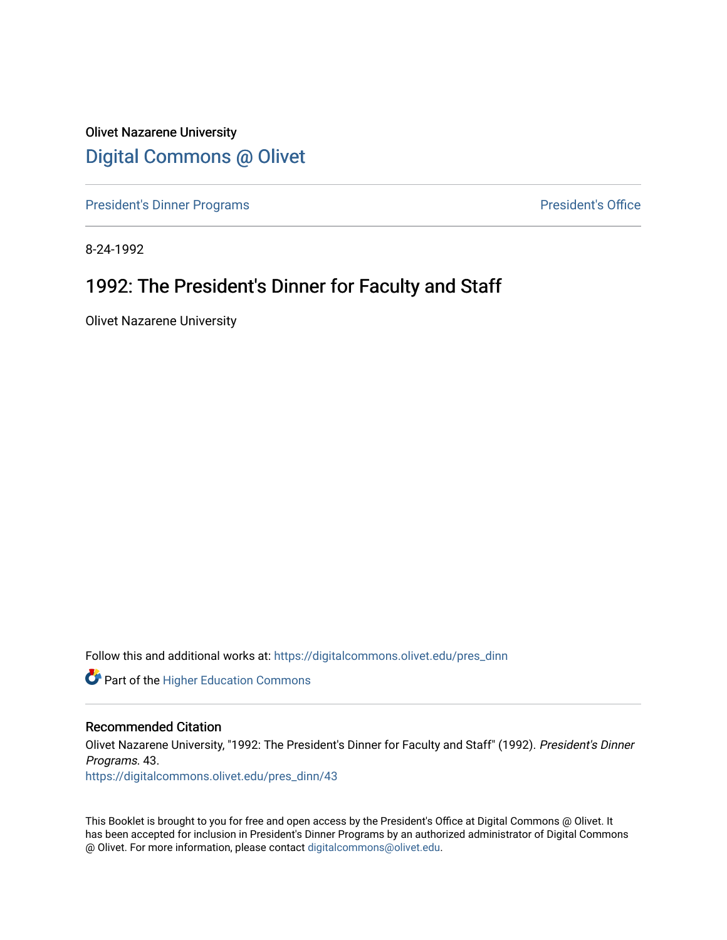Olivet Nazarene University [Digital Commons @ Olivet](https://digitalcommons.olivet.edu/)

[President's Dinner Programs](https://digitalcommons.olivet.edu/pres_dinn) **President's Office** 

8-24-1992

# 1992: The President's Dinner for Faculty and Staff

Olivet Nazarene University

Follow this and additional works at: [https://digitalcommons.olivet.edu/pres\\_dinn](https://digitalcommons.olivet.edu/pres_dinn?utm_source=digitalcommons.olivet.edu%2Fpres_dinn%2F43&utm_medium=PDF&utm_campaign=PDFCoverPages)

**Part of the Higher Education Commons** 

# Recommended Citation

Olivet Nazarene University, "1992: The President's Dinner for Faculty and Staff" (1992). President's Dinner Programs. 43.

[https://digitalcommons.olivet.edu/pres\\_dinn/43](https://digitalcommons.olivet.edu/pres_dinn/43?utm_source=digitalcommons.olivet.edu%2Fpres_dinn%2F43&utm_medium=PDF&utm_campaign=PDFCoverPages) 

This Booklet is brought to you for free and open access by the President's Office at Digital Commons @ Olivet. It has been accepted for inclusion in President's Dinner Programs by an authorized administrator of Digital Commons @ Olivet. For more information, please contact [digitalcommons@olivet.edu.](mailto:digitalcommons@olivet.edu)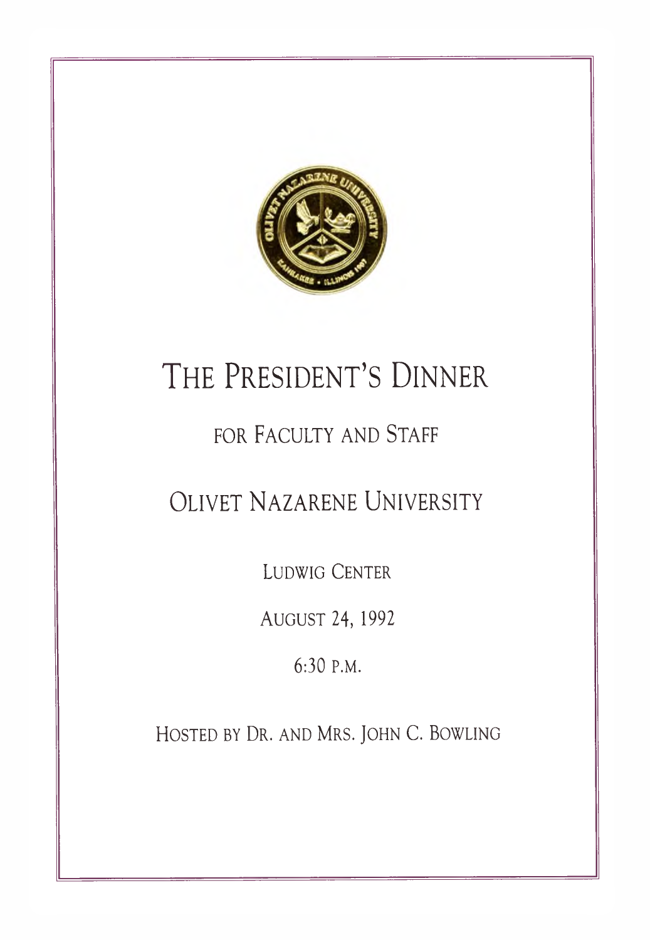

# **T he Presid en t' s Dinner**

# FOR FACULTY AND STAFF

# **Oliv et Nazarene University**

**Ludwig Center**

**August** 24,1992

6:30 **P.M.**

**H o sted by Dr . and Mr s . John C. Bowling**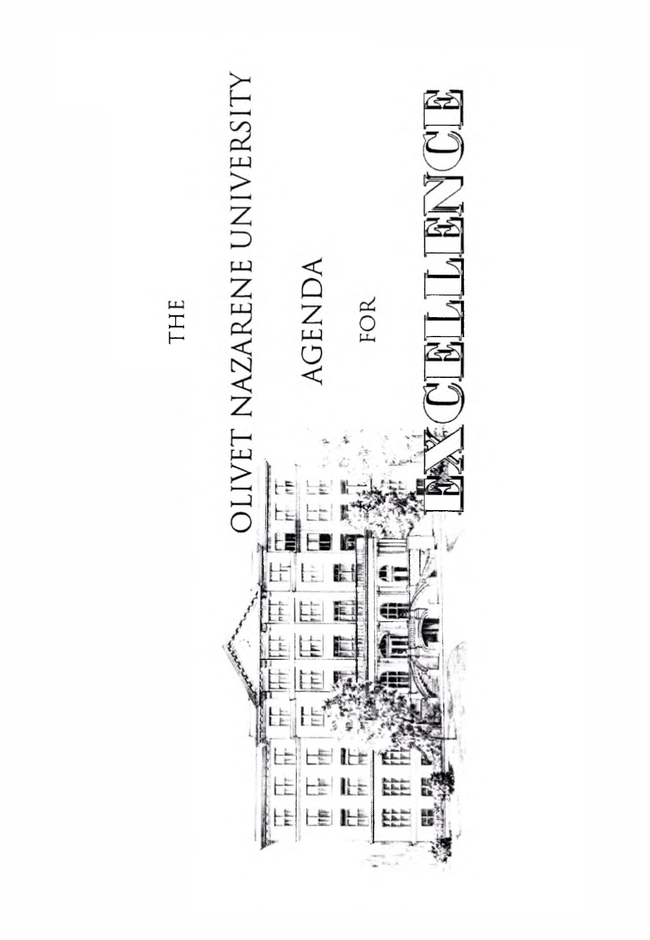

THE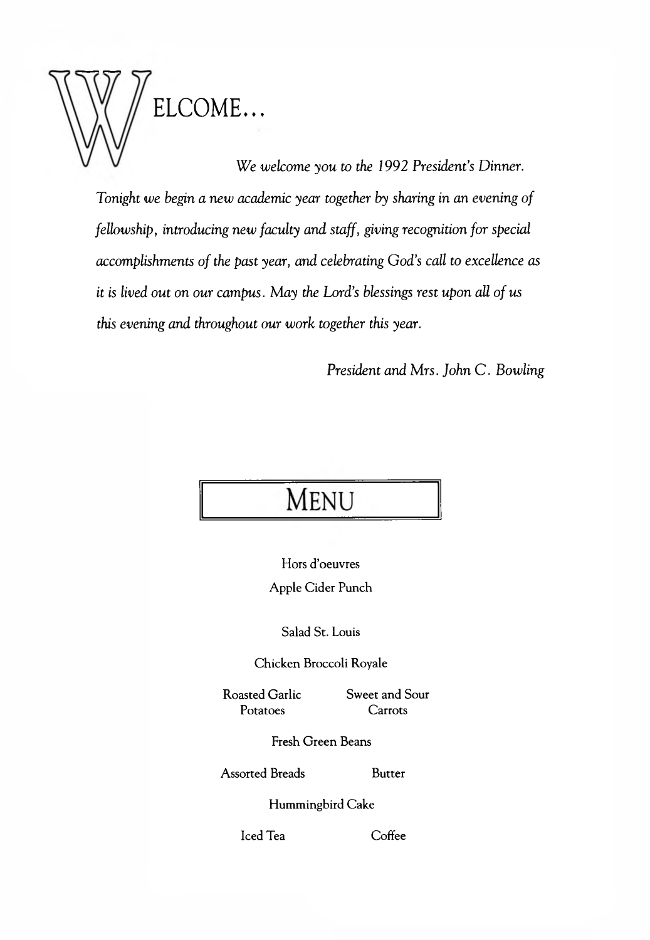

*We welcome you to the 1992 President's Dinner. Tonight we begin a new academic year together by sharing in an evening of felbwship, introducing new faculty and staff, giving recognition for special accomplishments of the past year, and celebrating God's call to excellence as it is lived out on our campus. May the Lord's blessings rest upon all of us this evening and throughout our work together this year.*

*President and Mrs. John C . Bowling*

# **MENU**

Hors d'oeuvres Apple Cider Punch

Salad St. Louis

Chicken Broccoli Royale

Roasted Garlic Potatoes

Sweet and Sour **Carrots** 

Fresh Green Beans

Assorted Breads Butter

Hummingbird Cake

Iced Tea Coffee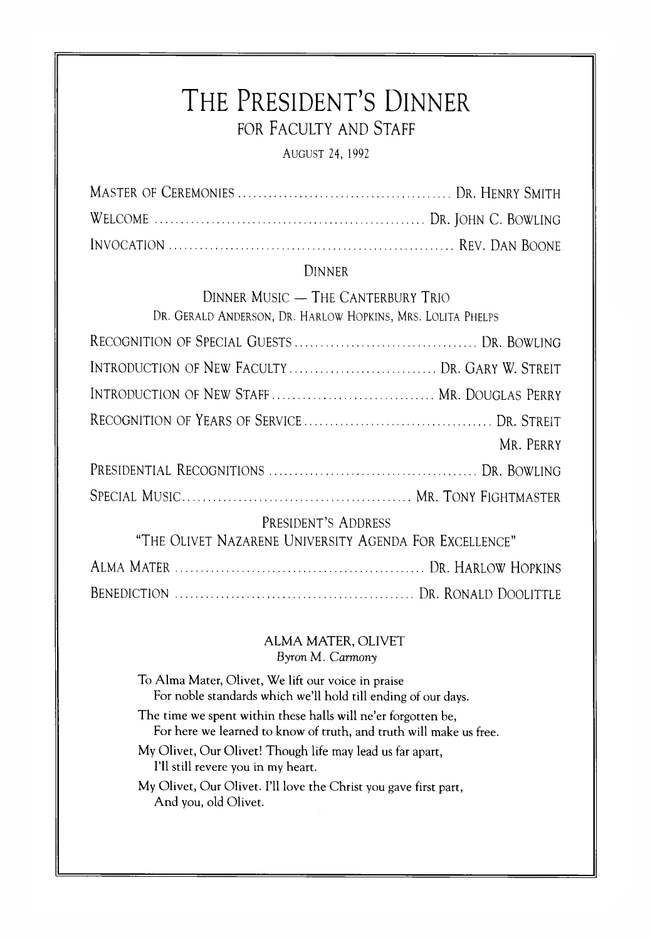# THE PRESIDENT'S DINNER FOR FACULTY AND STAFF

**AUGUST 24, 1992** 

# **DINNER**

DINNER MUSIC - THE CANTERBURY TRIO DR. GERALD ANDERSON, DR. HARLOW HOPKINS, MRS. LOLITA PHELPS

| INTRODUCTION OF NEW FACULTY  DR. GARY W. STREIT        |           |
|--------------------------------------------------------|-----------|
| INTRODUCTION OF NEW STAFF MR. DOUGLAS PERRY            |           |
|                                                        |           |
|                                                        | MR. PERRY |
|                                                        |           |
|                                                        |           |
| PRESIDENT'S ADDRESS                                    |           |
| "THE OLIVET NAZARENE UNIVERSITY AGENDA FOR EXCELLENCE" |           |
|                                                        |           |

# ALMA MATER, OLIVET Byron M. Carmony

To Alma Mater, Olivet, We lift our voice in praise For noble standards which we'll hold till ending of our days.

The time we spent within these halls will ne'er forgotten be, For here we learned to know of truth, and truth will make us free.

My Olivet, Our Olivet! Though life may lead us far apart, I'll still revere you in my heart.

My Olivet, Our Olivet. I'll love the Christ you gave first part, And you, old Olivet.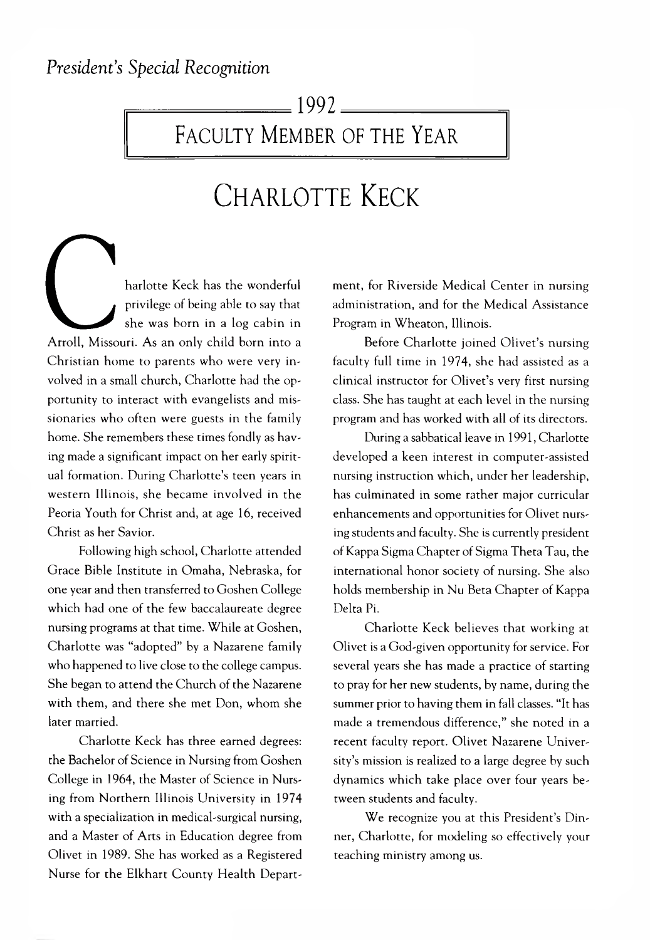# $-1992-$

# FACULTY MEMBER OF THE YEAR

# **Ch a rlo tte Keck**

harlotte Keck has the wonderful privilege of being able to say that she was born in a log cabin in Arroll, Missouri. As an only child born into a Christian home to parents who were very involved in a small church, Charlotte had the opportunity to interact with evangelists and missionaries who often were guests in the family home. She remembers these times fondly as having made a significant impact on her early spiritual formation. During Charlotte's teen years in western Illinois, she became involved in the Peoria Youth for Christ and, at age 16, received Christ as her Savior. Arroll, Misso<br>Christian ho

Following high school, Charlotte attended Grace Bible Institute in Omaha, Nebraska, for one year and then transferred to Goshen College which had one of the few baccalaureate degree nursing programs at that time. While at Goshen, Charlotte was "adopted" by a Nazarene family who happened to live close to the college campus. She began to attend the Church of the Nazarene with them, and there she met Don, whom she later married.

Charlotte Keck has three earned degrees: the Bachelor of Science in Nursing from Goshen College in 1964, the Master of Science in Nursing from Northern Illinois University in 1974 with a specialization in medical-surgical nursing, and a Master of Arts in Education degree from Olivet in 1989. She has worked as a Registered Nurse for the Elkhart County Health Department, for Riverside Medical Center in nursing administration, and for the Medical Assistance Program in Wheaton, Illinois.

Before Charlotte joined Olivet's nursing faculty full time in 1974, she had assisted as a clinical instructor for Olivet's very first nursing class. She has taught at each level in the nursing program and has worked with all of its directors.

During a sabbatical leave in 1991, Charlotte developed a keen interest in computer-assisted nursing instruction which, under her leadership, has culminated in some rather major curricular enhancements and opportunities for Olivet nursing students and faculty. She is currently president of Kappa Sigma Chapter of Sigma Theta Tau, the international honor society of nursing. She also holds membership in Nu Beta Chapter of Kappa Delta Pi.

Charlotte Keck believes that working at Olivet is a God-given opportunity for service. For several years she has made a practice of starting to pray for her new students, by name, during the summer prior to having them in fall classes. "It has made a tremendous difference," she noted in a recent faculty report. Olivet Nazarene University's mission is realized to a large degree by such dynamics which take place over four years between students and faculty.

We recognize you at this President's Dinner, Charlotte, for modeling so effectively your teaching ministry among us.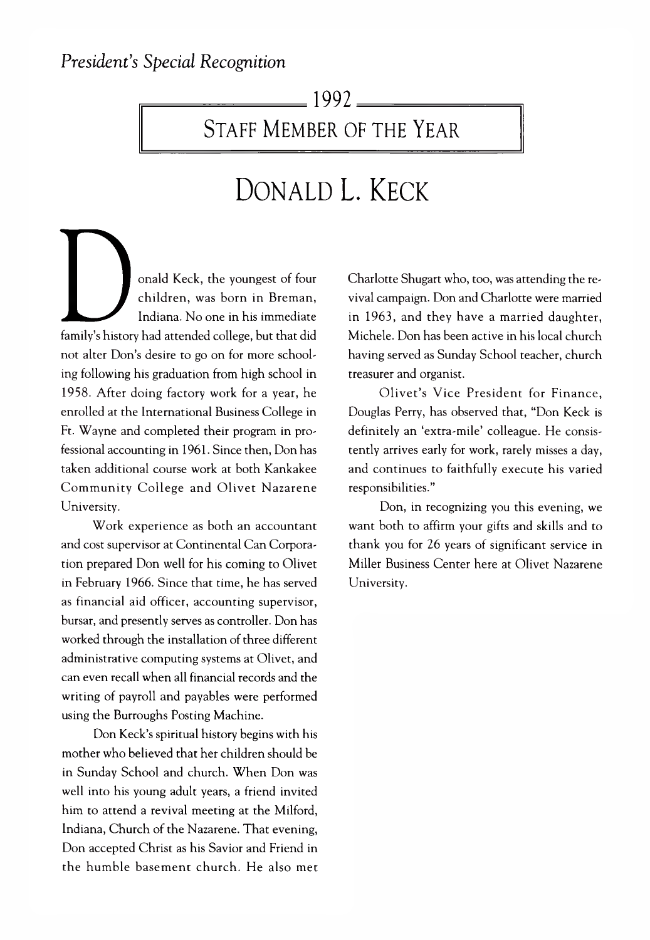# $-1992$   $-$

# STAFF MEMBER OF THE YEAR

# **Donald L. Keck**

or<br>
family's history h<br>
family's history h<br>
ing following his onald Keck, the youngest of four children, was born in Breman, Indiana. No one in his immediate family's history had attended college, but that did not alter Don's desire to go on for more schooling following his graduation from high school in 1958. After doing factory work for a year, he enrolled at the International Business College in Ft. Wayne and completed their program in professional accounting in 1961. Since then, Don has taken additional course work at both Kankakee Community College and Olivet Nazarene University.

Work experience as both an accountant and cost supervisor at Continental Can Corporation prepared Don well for his coming to Olivet in February 1966. Since that time, he has served as financial aid officer, accounting supervisor, bursar, and presently serves as controller. Don has worked through the installation of three different administrative computing systems at Olivet, and can even recall when all financial records and the writing of payroll and payables were performed using the Burroughs Posting Machine.

Don Keck's spiritual history begins with his mother who believed that her children should be in Sunday School and church. W hen Don was well into his young adult years, a friend invited him to attend a revival meeting at the Milford, Indiana, Church of the Nazarene. That evening, Don accepted Christ as his Savior and Friend in the hum ble basem ent church. He also met Charlotte Shugart who, too, was attending the revival campaign. Don and Charlotte were married in 1963, and they have a married daughter, Michele. Don has been active in his local church having served as Sunday School teacher, church treasurer and organist.

Olivet's Vice President for Finance, Douglas Perry, has observed that, "Don Keck is definitely an 'extra-mile' colleague. He consistently arrives early for work, rarely misses a day, and continues to faithfully execute his varied responsibilities."

Don, in recognizing you this evening, we want both to affirm your gifts and skills and to thank you for 26 years of significant service in Miller Business Center here at Olivet Nazarene University.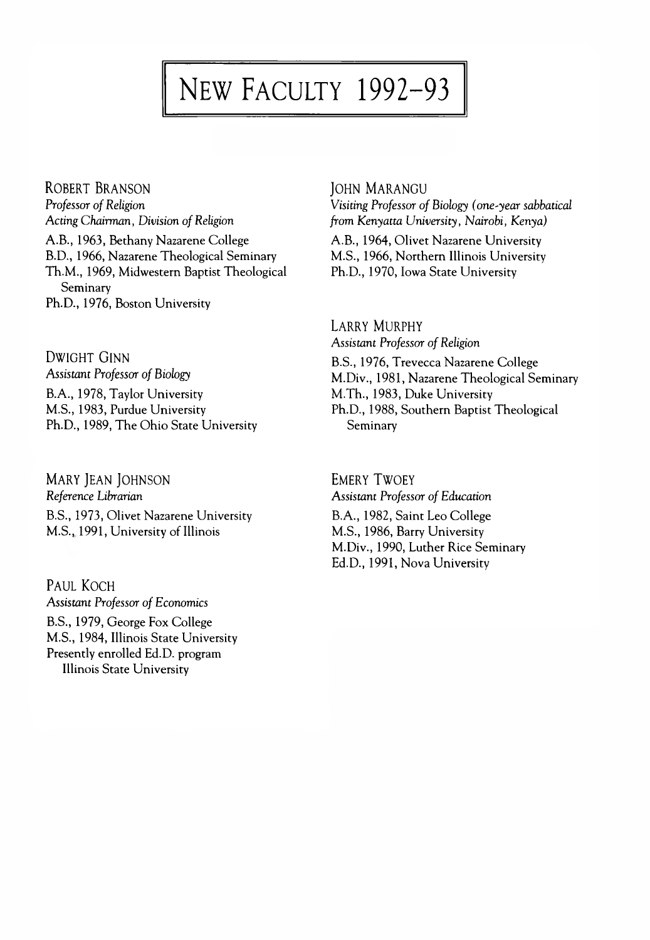# NEW FACULTY 1992-93

ROBERT BRANSON **Professor of Religion** *Acting Chairman, Division of Religion* A.B., 1963, Bethany Nazarene College B.D., 1966, Nazarene Theological Seminary Th.M ., 1969, Midwestern Baptist Theological Seminary Ph.D., 1976, Boston University

DWIGHT GINN **Assistant Professor of Biology** B.A., 1978, Taylor University M.S., 1983, Purdue University Ph.D., 1989, The Ohio State University

MARY JEAN JOHNSON *Reference Librarian* B.S., 1973, Olivet Nazarene University M.S., 1991, University of Illinois

Paul Koch **Assistant Professor of Economics** B.S., 1979, George Fox College M.S., 1984, Illinois State University Presently enrolled Ed.D. program Illinois State University

#### **JOHN MARANGU**

*Visiting Professor of Biology (one-year sabbatical from Kenyatta University, Nairobi, Kenya)*

A.B., 1964, Olivet Nazarene University M.S., 1966, Northern Illinois University Ph.D., 1970, Iowa State University

LARRY MURPHY **Assistant Professor of Religion** B.S., 1976, Trevecca Nazarene College M.Div., 1981, Nazarene Theological Seminary M.Th., 1983, Duke University Ph.D., 1988, Southern Baptist Theological Seminary

**EMERY TWOEY Assistant Professor of Education** B.A., 1982, Saint Leo College M.S., 1986, Barry University M.Div., 1990, Luther Rice Seminary Ed.D., 1991, Nova University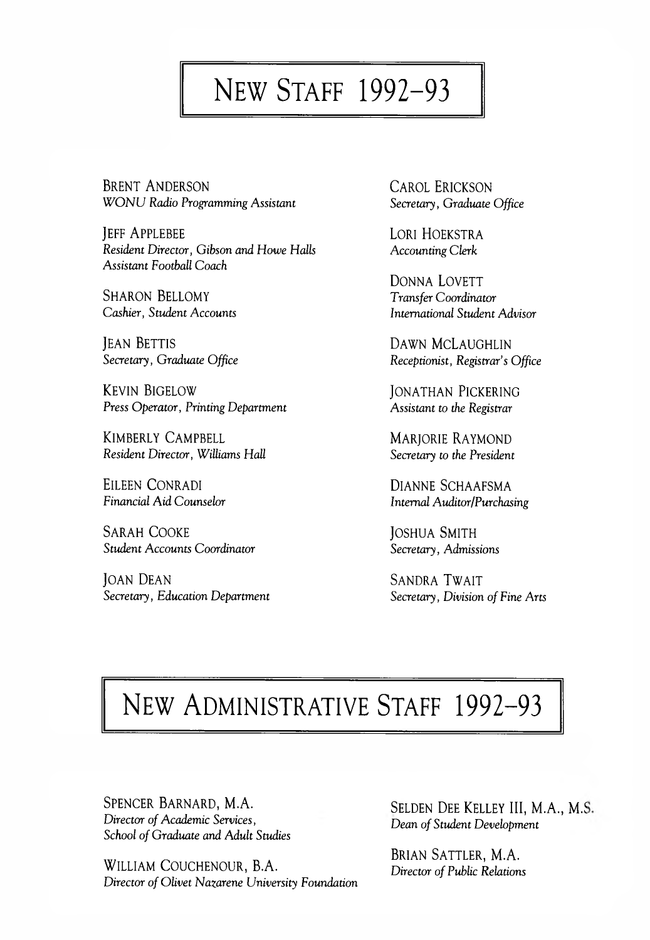# NEW STAFF 1992-93

BRENT ANDERSON *W O N U Radio Programming Assistant*

JEFF APPLEBEE *Resident Director, Gibson and Howe Halls Assistant Football Coach*

SHARON BELLOMY *Cashier, Student Accounts*

**JEAN BETTIS** *Secretary, Graduate Office*

**KEVIN BIGELOW** *Press Operator, Printing Department*

KIMBERLY CAMPBELL *Resident Director, Williams Hall*

EILEEN CONRADI *Financial Aid Counselor*

SARAH COOKE *Student Accounts Coordinator*

**JOAN DEAN** *Secretary, Education Department* CAROL ERICKSON *Secretary, Graduate Office*

LORI HOEKSTRA *Accounting Clerk*

DONNA LOVETT *Transfer Coordinator International Student Advisor*

DAWN MCLAUGHLIN *Receptionist, Registrar's Office*

**JONATHAN PICKERING** *Assistant to the Registrar*

MARIORIE RAYMOND *Secretary to the President*

DIANNE SCHAAFSMA *Internal Auditor/Purchasing*

JOSHUA SMITH *Secretary, Admissions*

SANDRA TWAIT Secretary, Division of Fine Arts

# NEW ADMINISTRATIVE STAFF 1992-93

SPENCER BARNARD, M.A. **Director of Academic Services,** School of Graduate and Adult Studies

WILLIAM COUCHENOUR, B.A. **Director of Olivet Nazarene University Foundation**  SELDEN DEE KELLEY III, M.A., M.S. *Dean of Student Development* 

BRIAN SATTLER, M.A. **Director of Public Relations**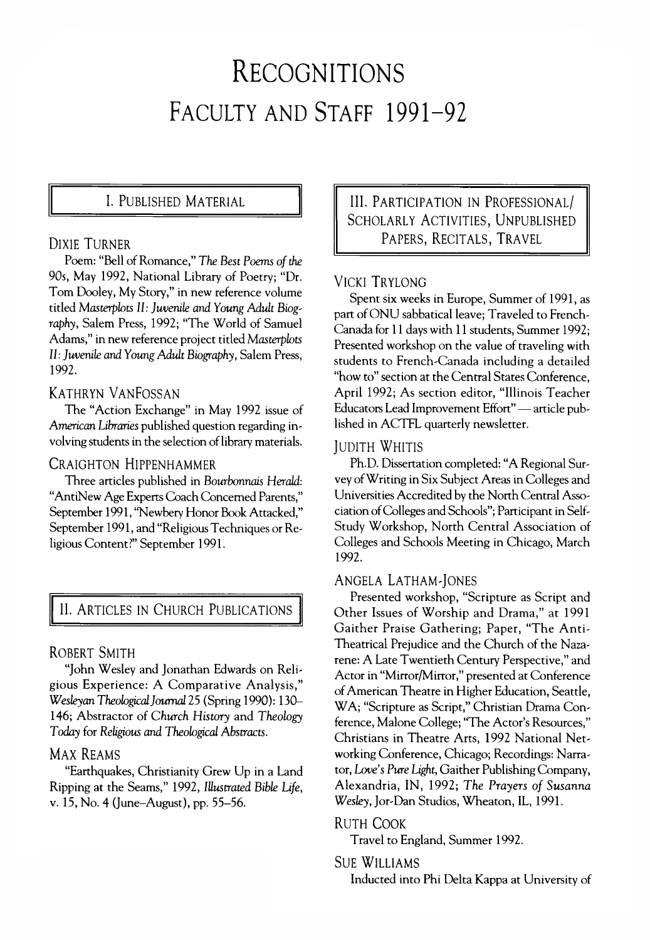# **Recognitions** FACULTY AND STAFF 1991-92

Poem: "Bell of Romance," The Best Poems of the 90s, May 1992, National Library of Poetry; "Dr. Tom Dooley, My Story," in new reference volume titled Masterplots II: Juvenile and Young Adult Biog*raphy,* Salem Press, 1992; "The World of Samuel Adams," in new reference project titled *Masterplots 11: Juvenile and Young Adult Biography,* Salem Press, 1992.

#### KATHRYN VANFOSSAN

The "Action Exchange" in May 1992 issue of *American Libraries* published question regarding involving students in the selection of library materials.

# CRAIGHTON HIPPENHAMMER

Three articles published in *Bourbonnais Herald:* "AntiNew Age Experts Coach Concerned Parents," September 1991, "Newbery Honor Book Attacked," September 1991, and "Religious Techniques or Religious Content?" September 1991.

# II. ARTICLES IN CHURCH PUBLICATIONS

#### ROBERT SMITH

"John Wesley and Jonathan Edwards on Religious Experience: A Comparative Analysis," *Wesleyan Theological Journal* 25 (Spring 1990): 130— 146; Abstractor of *Church History* and *Theology Today* for *Religious and Theological Abstracts.*

#### MAX REAMS

"Earthquakes, Christianity Grew Up in a Land Ripping at the Seams," 1992, *Illustrated Bible Ufe,* v. 15, No. 4 (June-August), pp. 55-56.

1. PUBLISHED MATERIAL  $\|\cdot\|$  III. PARTICIPATION IN PROFESSIONAL/ SCHOLARLY ACTIVITIES, UNPUBLISHED DIXIE TURNER **EXECUTE:** PAPERS, RECITALS, TRAVEL

# VICKI TRYLONG

Spent six weeks in Europe, Summer of 1991, as part of ONU sabbatical leave; Traveled to French-Canada for 11 days with 11 students, Summer 1992; Presented workshop on the value of traveling with students to French-Canada including a detailed "how to" section at the Central States Conference, April 1992; As section editor, "Illinois Teacher Educators Lead Improvement Effort" — article published in ACTFL quarterly newsletter.

#### **JUDITH WHITIS**

Ph.D. Dissertation completed: "A Regional Survey of Writing in Six Subject Areas in Colleges and Universities Accredited by the North Central Association of Colleges and Schools"; Participant in Self-Study Workshop, North Central Association of Colleges and Schools Meeting in Chicago, March 1992.

#### ANGELA LATHAM-JONES

Presented workshop, "Scripture as Script and Other Issues of Worship and Drama," at 1991 Gaither Praise Gathering; Paper, "The Anti-Theatrical Prejudice and the Church of the Nazarene: A Late Twentieth Century Perspective," and Actor in "Mirror/Mirror," presented at Conference of American Theatre in Higher Education, Seattle, WA; "Scripture as Script," Christian Drama Conference, Malone College; "The Actor's Resources," Christians in Theatre Arts, 1992 National Networking Conference, Chicago; Recordings: Narrator, *Love's Pure Light,* Gaither Publishing Company, Alexandria, IN, 1992; The Prayers of Susanna *Wesley,* Jor-Dan Studios, Wheaton, IL, 1991.

#### RUTH COOK

Travel to England, Summer 1992.

#### Sue Williams

Inducted into Phi Delta Kappa at University of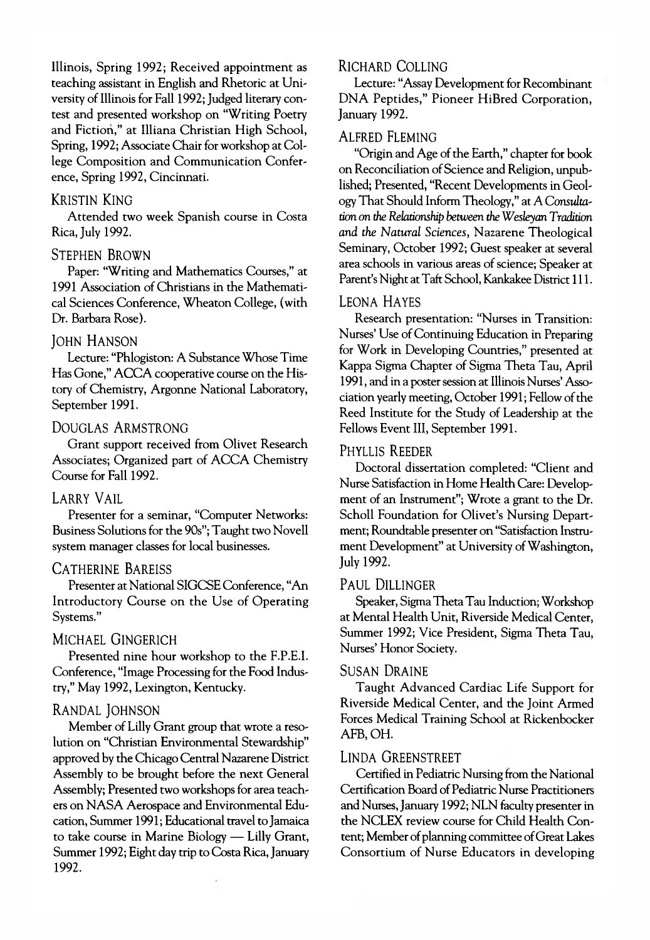Illinois, Spring 1992; Received appointment as teaching assistant in English and Rhetoric at University of Illinois for Fall 1992; Judged literary contest and presented workshop on "Writing Poetry and Fiction," at Illiana Christian High School, Spring, 1992; Associate Chair for workshop at College Composition and Communication Conference, Spring 1992, Cincinnati.

#### **KRISTIN KING**

Attended two week Spanish course in Costa Rica, July 1992.

#### STEPHEN BROWN

Paper: "Writing and Mathematics Courses," at 1991 Association of Christians in the Mathematical Sciences Conference, Wheaton College, (with Dr. Barbara Rose).

#### **JOHN HANSON**

Lecture: "Phlogiston: A Substance Whose Time Has Gone," ACCA cooperative course on the History of Chemistry, Argonne National Laboratory, September 1991.

#### DOUGLAS ARMSTRONG

Grant support received from Olivet Research Associates; Organized part of ACCA Chemistry Course for Fall 1992.

#### LARRY VAIL

Presenter for a seminar, "Computer Networks: Business Solutions for the 90s"; Taught two Novell system manager classes for local businesses.

#### CATHERINE BAREISS

Presenter at National SIGCSE Conference, "An Introductory Course on the Use of Operating Systems."

#### MICHAEL GINGERICH

Presented nine hour workshop to the F.P.E.I. Conference, "Image Processing for the Food Industry," May 1992, Lexington, Kentucky.

#### RANDAL JOHNSON

Member of Lilly Grant group that wrote a resolution on "Christian Environmental Stewardship" approved by the Chicago Central Nazarene District Assembly to be brought before the next General Assembly; Presented two workshops for area teachers on NASA Aerospace and Environmental Education, Summer 1991; Educational travel to Jamaica to take course in Marine Biology — Lilly Grant, Summer 1992; Eight day trip to Costa Rica, January 1992.

#### RICHARD COLLING

Lecture: "Assay Development for Recombinant DNA Peptides," Pioneer HiBred Corporation, January 1992.

#### **ALFRED FLEMING**

"Origin and Age of the Earth," chapter for book on Reconciliation of Science and Religion, unpublished; Presented, "Recent Developments in Geology That Should Inform Theology," at A *Consultation on the Relationship between the Wesleyan Tradition and the Natural Sciences,* Nazarene Theological Seminary, October 1992; Guest speaker at several area schools in various areas of science; Speaker at Parent's Night at Taft School, Kankakee District 111.

#### LEONA HAYES

Research presentation: "Nurses in Transition: Nurses' Use of Continuing Education in Preparing for Work in Developing Countries," presented at Kappa Sigma Chapter of Sigma Theta Tau, April 1991, and in a poster session at Illinois Nurses' Association yearly meeting, October 1991; Fellow of the Reed Institute for the Study of Leadership at the Fellows Event III, September 1991.

#### PHYLLIS REEDER

Doctoral dissertation completed: "Client and Nurse Satisfaction in Home Health Care: Development of an Instrument"; Wrote a grant to the Dr. Scholl Foundation for Olivet's Nursing Department; Roundtable presenter on "Satisfaction Instrument Development" at University of Washington, July 1992.

#### Paul Dillinger

Speaker, Sigma Theta Tau Induction; Workshop at Mental Health Unit, Riverside Medical Center, Summer 1992; Vice President, Sigma Theta Tau, Nurses' Honor Society.

#### SUSAN DRAINE

Taught Advanced Cardiac Life Support for Riverside Medical Center, and the Joint Armed Forces Medical Training School at Rickenbocker AFB, OH.

#### LINDA GREENSTREET

Certified in Pediatric Nursing from the National Certification Board of Pediatric Nurse Practitioners and Nurses, January 1992; NLN faculty presenter in the NCLEX review course for Child Health Content; Member of planning committee of Great Lakes Consortium of Nurse Educators in developing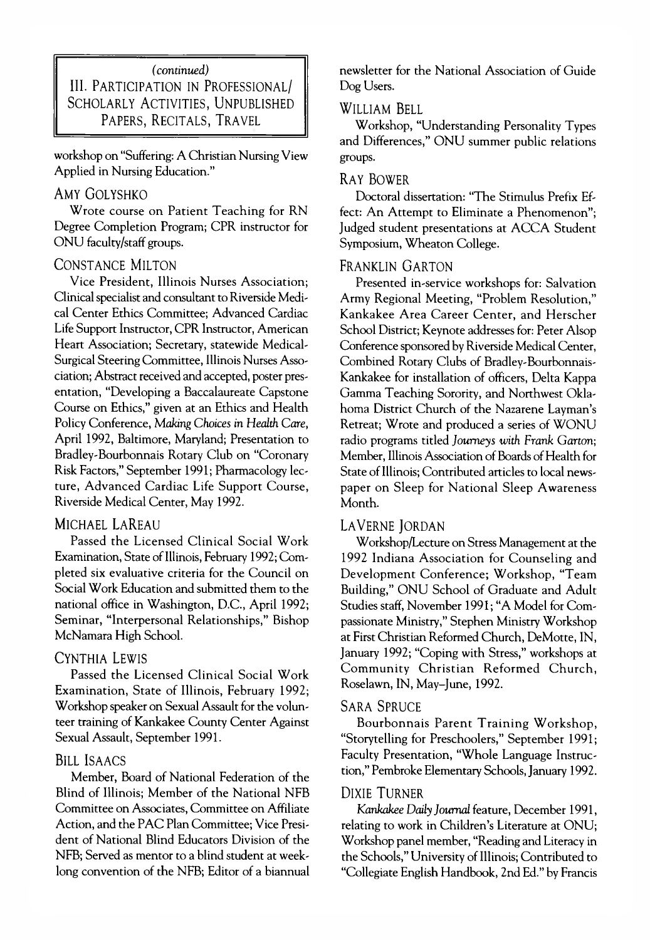# *(continued)* III. PARTICIPATION IN PROFESSIONAL/ SCHOLARLY ACTIVITIES, UNPUBLISHED PAPERS, RECITALS, TRAVEL

workshop on "Suffering: A Christian Nursing View Applied in Nursing Education."

#### AMY GOLYSHKO

Wrote course on Patient Teaching for RN Degree Completion Program; CPR instructor for ONU faculty/staff groups.

# CONSTANCE MILTON

Vice President, Illinois Nurses Association; Clinical specialist and consultant to Riverside Medical Center Ethics Committee; Advanced Cardiac Life Support Instructor, CPR Instructor, American Heart Association; Secretary, statewide Medical-Surgical Steering Committee, Illinois Nurses Association; Abstract received and accepted, poster presentation, "Developing a Baccalaureate Capstone Course on Ethics," given at an Ethics and Health Policy Conference, *Making Choices in Health Care,* April 1992, Baltimore, Maryland; Presentation to Bradley-Bourbonnais Rotary Club on "Coronary Risk Factors," September 1991; Pharmacology lecture, Advanced Cardiac Life Support Course, Riverside Medical Center, May 1992.

# MICHAEL LAREAU

Passed the Licensed Clinical Social Work Examination, State of Illinois, February 1992; Completed six evaluative criteria for the Council on Social Work Education and submitted them to the national office in Washington, D.C., April 1992; Seminar, "Interpersonal Relationships," Bishop McNamara High School.

# CYNTHIA LEWIS

Passed the Licensed Clinical Social Work Examination, State of Illinois, February 1992; Workshop speaker on Sexual Assault for the volunteer training of Kankakee County Center Against Sexual Assault, September 1991.

# **BILL ISAACS**

Member, Board of National Federation of the Blind of Illinois; Member of the National NFB Committee on Associates, Committee on Affiliate Action, and the PAC Plan Committee; Vice President of National Blind Educators Division of the NFB; Served as mentor to a blind student at weeklong convention of the NFB; Editor of a biannual newsletter for the National Association of Guide Dog Users.

#### WILLIAM BELL

Workshop, "Understanding Personality Types and Differences," ONU summer public relations groups.

#### RAY BOWER

Doctoral dissertation: "The Stimulus Prefix Effect: An Attempt to Eliminate a Phenomenon"; Judged student presentations at ACCA Student Symposium, Wheaton College.

#### FRANKLIN GARTON

Presented in-service workshops for: Salvation Army Regional Meeting, "Problem Resolution," Kankakee Area Career Center, and Herscher School District; Keynote addresses for: Peter Alsop Conference sponsored by Riverside Medical Center, Combined Rotary Clubs of Bradley-Bourbonnais-Kankakee for installation of officers, Delta Kappa Gamma Teaching Sorority, and Northwest Oklahoma District Church of the Nazarene Layman's Retreat; Wrote and produced a series of WONU radio programs titled *Journeys with Frank Garton;* Member, Illinois Association of Boards of Health for State of Illinois; Contributed articles to local newspaper on Sleep for National Sleep Awareness Month.

# LAVERNE JORDAN

Workshop/Lecture on Stress Management at the 1992 Indiana Association for Counseling and Development Conference; Workshop, "Team Building," ONU School of Graduate and Adult Studies staff, November 1991; "A Model for Compassionate Ministry," Stephen Ministry Workshop at First Christian Reformed Church, DeMotte, IN, January 1992; "Coping with Stress," workshops at Community Christian Reformed Church, Roselawn, IN, May-June, 1992.

#### **SARA SPRUCE**

Bourbonnais Parent Training W orkshop, "Storytelling for Preschoolers," September 1991; Faculty Presentation, "Whole Language Instruction," Pembroke Elementary Schools, January 1992.

# DIXIE TURNER

*Kankakee Daily Journal* feature, December 1991, relating to work in Children's Literature at ONU; Workshop panel member, "Reading and Literacy in the Schools," University of Illinois; Contributed to "Collegiate English Handbook, 2nd Ed." by Francis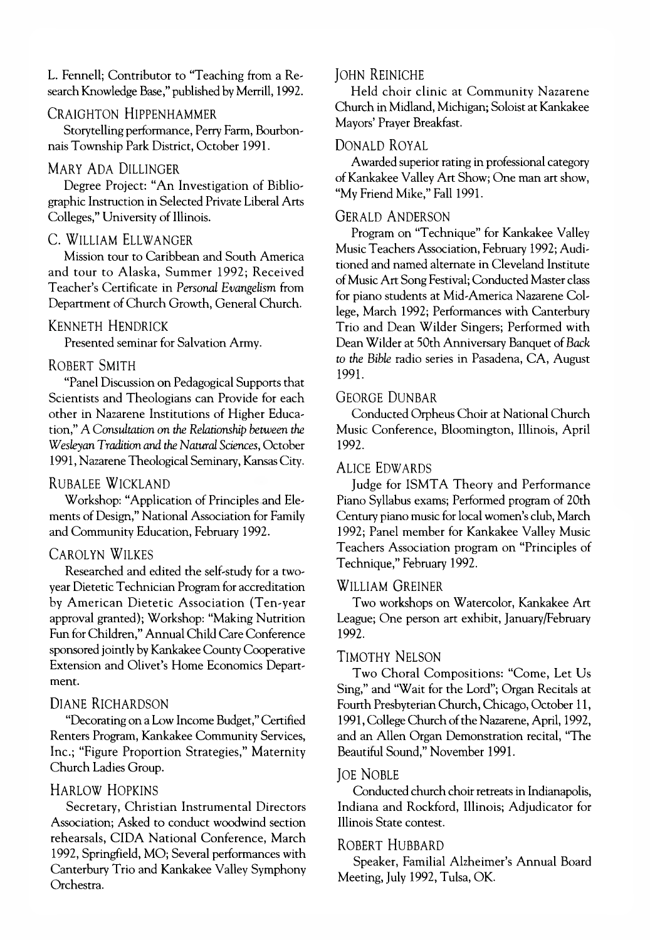L. Fennell; Contributor to "Teaching from a Research Knowledge Base," published by Merrill, 1992.

#### CRAIGHTON HIPPENHAMMER

Storytelling performance, Perry Farm, Bourbonnais Township Park District, October 1991.

#### MARY ADA DILLINGER

Degree Project: "An Investigation of Bibliographic Instruction in Selected Private Liberal Arts Colleges," University of Illinois.

#### C. WILLIAM ELLWANGER

Mission tour to Caribbean and South America and tour to Alaska, Summer 1992; Received Teacher's Certificate in *Personal Evangelism* from Department of Church Growth, General Church.

#### KENNETH HENDRICK

Presented seminar for Salvation Army.

#### ROBERT SMITH

"Panel Discussion on Pedagogical Supports that Scientists and Theologians can Provide for each other in Nazarene Institutions of Higher Education," A *Consultation on the Relationship between the Wesleyan Tradition and the Natural Sciences,* October 1991, Nazarene Theological Seminary, Kansas City.

#### RUBALEE WICKLAND

Workshop: "Application of Principles and Elements of Design," National Association for Family and Community Education, February 1992.

#### CAROLYN WILKES

Researched and edited the self-study for a twoyear Dietetic Technician Program for accreditation by American Dietetic Association (Ten-year approval granted); Workshop: "Making Nutrition Fun for Children," Annual Child Care Conference sponsored jointly by Kankakee County Cooperative Extension and Olivet's Home Economics Department.

#### DIANE RICHARDSON

"Decorating on a Low Income Budget," Certified Renters Program, Kankakee Community Services, Inc.; "Figure Proportion Strategies," Maternity Church Ladies Group.

#### HARLOW HOPKINS

Secretary, Christian Instrumental Directors Association; Asked to conduct woodwind section rehearsals, CIDA National Conference, March 1992, Springfield, MO; Several performances with Canterbury Trio and Kankakee Valley Symphony Orchestra.

#### **JOHN REINICHE**

Held choir clinic at Community Nazarene Church in Midland, Michigan; Soloist at Kankakee Mayors' Prayer Breakfast.

#### DONALD ROYAL

Awarded superior rating in professional category of Kankakee Valley Art Show; One man art show, "My Friend Mike," Fall 1991.

#### GERALD ANDERSON

Program on "Technique" for Kankakee Valley Music Teachers Association, February 1992; Auditioned and named alternate in Cleveland Institute of Music Art Song Festival; Conducted Master class for piano students at Mid-America Nazarene College, March 1992; Performances with Canterbury Trio and Dean Wilder Singers; Performed with Dean Wilder at 50th Anniversary Banquet of *Back to the Bible* radio series in Pasadena, CA, August 1991.

#### GEORGE DUNBAR

Conducted Orpheus Choir at National Church Music Conference, Bloomington, Illinois, April 1992.

#### ALICE EDWARDS

Judge for ISMTA Theory and Performance Piano Syllabus exams; Performed program of 20th Century piano music for local women's club, March 1992; Panel member for Kankakee Valley Music Teachers Association program on "Principles of Technique," February 1992.

#### WILLIAM GREINER

Two workshops on Watercolor, Kankakee Art League; One person art exhibit, January/February 1992.

#### TIMOTHY NELSON

Two Choral Compositions: "Come, Let Us Sing," and "Wait for the Lord"; Organ Recitals at Fourth Presbyterian Church, Chicago, October 11, 1991, College Church of the Nazarene, April, 1992, and an Allen Organ Demonstration recital, "The Beautiful Sound," November 1991.

#### **JOE NOBLE**

Conducted church choir retreats in Indianapolis, Indiana and Rockford, Illinois; Adjudicator for Illinois State contest.

#### ROBERT HUBBARD

Speaker, Familial Alzheimer's Annual Board Meeting, July 1992, Tulsa, OK.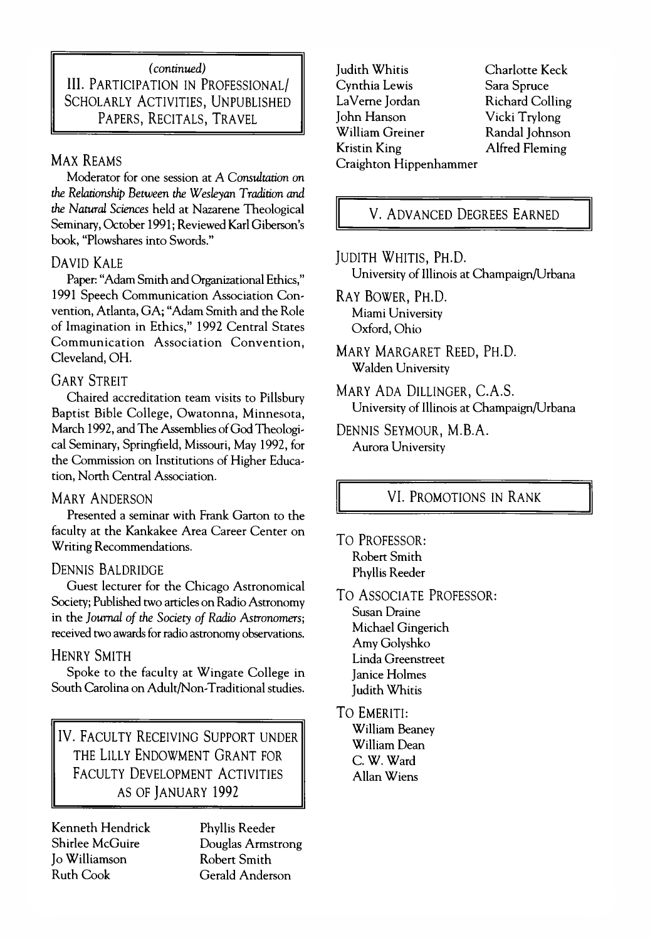# *(continued)* III. PARTICIPATION IN PROFESSIONAL/ SCHOLARLY ACTIVITIES, UNPUBLISHED PAPERS, RECITALS, TRAVEL

# MAX REAMS

Moderator for one session at A *Consultation on the Relationship Between the Wesleyan Tradition and the Natural Sciences* held at Nazarene Theological Seminary, October 1991; Reviewed Karl Giberson's book, "Plowshares into Swords."

# DAVID KALE

Paper: "Adam Smith and Organizational Ethics," 1991 Speech Communication Association Convention, Atlanta, GA; "Adam Smith and the Role of Imagination in Ethics," 1992 Central States Communication Association Convention. Cleveland, OH.

# **GARY STREIT**

Chaired accreditation team visits to Pillsbury Baptist Bible College, Owatonna, Minnesota, March 1992, and The Assemblies of God Theological Seminary, Springfield, Missouri, May 1992, for the Commission on Institutions of Higher Education, North Central Association.

# **MARY ANDERSON**

Presented a seminar with Frank Garton to the faculty at the Kankakee Area Career Center on Writing Recommendations.

# DENNIS BALDRIDGE

Guest lecturer for the Chicago Astronomical Society; Published two articles on Radio Astronomy in the *Journal of the Society of Radio Astronomers*; received two awards for radio astronomy observations.

# **HENRY SMITH**

Spoke to the faculty at Wingate College in South Carolina on Adult/Non-Traditional studies.

IV. FACULTY RECEIVING SUPPORT UNDER THE LILLY ENDOWMENT GRANT FOR FACULTY DEVELOPMENT ACTIVITIES AS OF JANUARY 1992

Kenneth Hendrick Shirlee McGuire Jo Williamson Ruth Cook

Phyllis Reeder Douglas Armstrong Robert Smith Gerald Anderson

Judith Whitis Cynthia Lewis La Verne Jordan John Hanson William Greiner Kristin King Craighton Hippenhammer

Charlotte Keck Sara Spruce Richard Colling Vicki Trylong Randal Johnson Alfred Fleming

V. ADVANCED DEGREES EARNED

# JUDITH WHITIS, PH.D.

University of Illinois at Champaign/Urbana

RAY BOWER, PH.D. Miami University Oxford, Ohio

MARY MARGARET REED, PH.D. Walden University

MARY ADA DILLINGER, C.A.S. University of Illinois at Champaign/Urbana

DENNIS SEYMOUR, M.B.A. Aurora University

# VI. PROMOTIONS IN RANK

TO PROFESSOR: Robert Smith Phyllis Reeder

TO ASSOCIATE PROFESSOR:

Susan Draine Michael Gingerich Amy Golyshko Linda Greenstreet Janice Holmes Judith Whitis

**TO EMERITI:** William Beaney William Dean C. W. Ward

Allan Wiens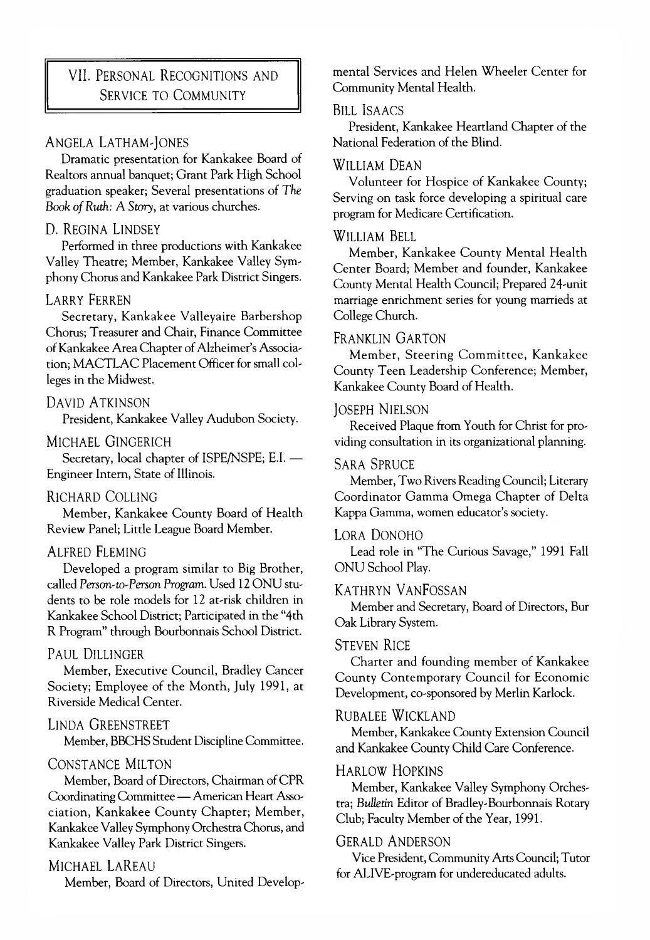# **VII. PERSONAL RECOGNITIONS AND** SERVICE TO COMMUNITY

# ANGELA LATHAM-JONES

Dramatic presentation for Kankakee Board of Realtors annual banquet; Grant Park High School graduation speaker; Several presentations of *The* Book of Ruth: A Story, at various churches.

#### D. REGINA LINDSEY

Performed in three productions with Kankakee Valley Theatre; Member, Kankakee Valley Symphony Chorus and Kankakee Park District Singers.

#### **LARRY FERREN**

Secretary, Kankakee Valleyaire Barbershop Chorus; Treasurer and Chair, Finance Committee of Kankakee Area Chapter of Alzheimer's Association: MACTLAC Placement Officer for small colleges in the Midwest.

# DAVID A TKINSON

President, Kankakee Valley Audubon Society.

# MICHAEL GINGERICH

Secretary, local chapter of ISPE/NSPE; E.I. — Engineer Intern, State of Illinois.

# RICHARD COLLING

Member, Kankakee County Board of Health Review Panel; Little League Board Member.

# ALFRED FLEMING

Developed a program similar to Big Brother, called Person-to-Person *Program.* Used 12 ONU students to be role models for 12 at-risk children in Kankakee School District; Participated in the "4th R Program" through Bourbonnais School District.

# Paul Dillinger

Member, Executive Council, Bradley Cancer Society; Employee of the Month, July 1991, at Riverside Medical Center.

# LINDA GREENSTREET

Member, BBCHS Student Discipline Committee.

# CONSTANCE MILTON

Member, Board of Directors, Chairman of CPR Coordinating Committee — American Heart Association, Kankakee County Chapter; Member, Kankakee Valley Symphony Orchestra Chorus, and Kankakee Valley Park District Singers.

# MICHAEL LAREAU

Member, Board of Directors, United Develop-

mental Services and Helen Wheeler Center for Community Mental Health.

#### Bill Isaacs

President, Kankakee Heartland Chapter of the National Federation of the Blind.

#### WILLIAM DEAN

Volunteer for Hospice of Kankakee County; Serving on task force developing a spiritual care program for Medicare Certification.

#### WILLIAM BELL

Member, Kankakee County Mental Health Center Board; Member and founder, Kankakee County Mental Health Council; Prepared 24-unit marriage enrichment series for young marrieds at College Church.

#### FRANKLIN GARTON

Member, Steering Committee, Kankakee County Teen Leadership Conference; Member, Kankakee County Board of Health.

# **JOSEPH NIELSON**

Received Plaque from Youth for Christ for providing consultation in its organizational planning.

#### **SARA SPRUCE**

Member, Two Rivers Reading Council; Literary Coordinator Gamma Omega Chapter of Delta Kappa Gamma, women educator's society.

#### LORA DONOHO

Lead role in "The Curious Savage," 1991 Fall ONU School Play.

#### KATHRYN VANFOSSAN

Member and Secretary, Board of Directors, Bur Oak Library System.

#### **STEVEN RICE**

Charter and founding member of Kankakee County Contemporary Council for Economic Development, co-sponsored by Merlin Karlock.

# RUBALEE WICKLAND

Member, Kankakee County Extension Council and Kankakee County Child Care Conference.

#### HARLOW HOPKINS

Member, Kankakee Valley Symphony Orchestra; *Bulletin* Editor of Bradley-Bourbonnais Rotary Club; Faculty Member of the Year, 1991.

#### **GERALD ANDERSON**

Vice President, Community Arts Council; Tutor for ALIVE-program for undereducated adults.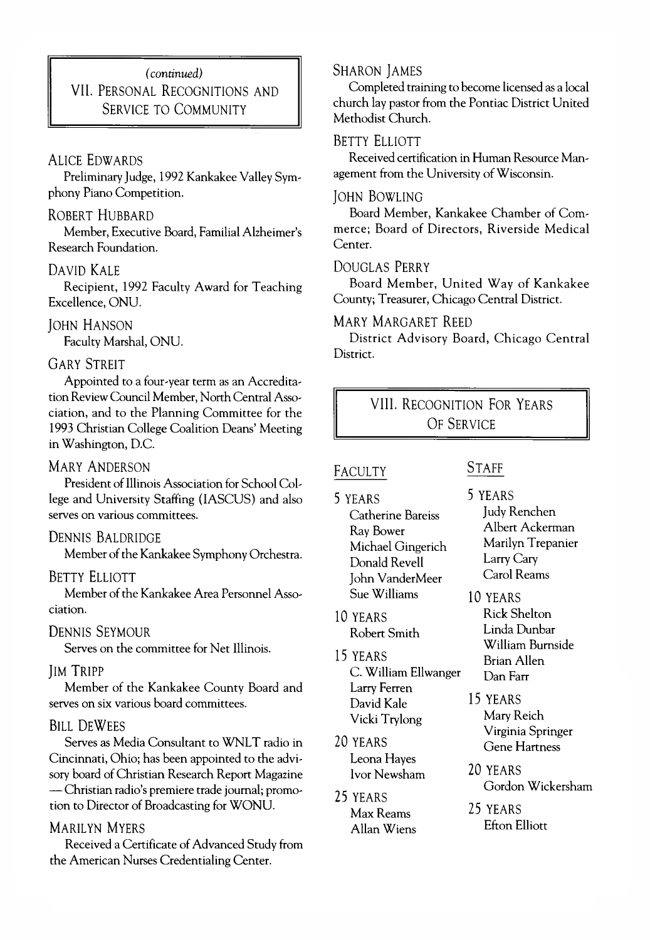# *(continued)* VII. PERSONAL RECOGNITIONS AND SERVICE TO COMMUNITY

# **ALICE EDWARDS**

Preliminary Judge, 1992 Kankakee Valley Symphony Piano Competition.

#### ROBERT HUBBARD

Member, Executive Board, Familial Alzheimer's Research Foundation.

# DAVID KALE

Recipient, 1992 Faculty Award for Teaching Excellence, ONU.

# **JOHN HANSON**

Faculty Marshal, ONU.

#### **GARY STREIT**

Appointed to a four-year term as an Accreditation Review Council Member, North Central Association, and to the Planning Committee for the 1993 Christian College Coalition Deans' Meeting in Washington, D.C.

# MARY ANDERSON

President of Illinois Association for School College and University Staffing (IASCUS) and also serves on various committees.

# DENNIS BALDRIDGE

Member of the Kankakee Symphony Orchestra.

# BETTY ELLIOTT

Member of the Kankakee Area Personnel Association.

# DENNIS SEYMOUR

Serves on the committee for Net Illinois.

#### **IM TRIPP**

Member of the Kankakee County Board and serves on six various board committees.

#### BILL DEWEES

Serves as Media Consultant to WNLT radio in Cincinnati, Ohio; has been appointed to the advisory board of Christian Research Report Magazine — Christian radio's premiere trade journal; promotion to Director of Broadcasting for WONU.

#### **MARILYN MYERS**

Received a Certificate of Advanced Study from the American Nurses Credentialing Center.

### SHARON JAMES

Completed training to become licensed as a local church lay pastor from the Pontiac District United Methodist Church.

# BETTY ELLIOTT

Received certification in Human Resource Management from the University of Wisconsin.

#### JOHN BOWLING

Board Member, Kankakee Chamber of Commerce; Board of Directors, Riverside Medical Center.

# DOUGLAS PERRY

Board Member, United Way of Kankakee County; Treasurer, Chicago Central District.

# MARY MARGARET REED

District Advisory Board, Chicago Central District.

# VIII. RECOGNITION FOR YEARS OF SERVICE

#### **FACULTY**

- 5 yea rs Catherine Bareiss Ray Bower Michael Gingerich Donald Revell John VanderMeer Sue Williams
- 10 YEARS Robert Smith
- 15 YEARS C. William Ellwanger Larry Ferren David Kale Vicki Trylong
- 20 YEARS Leona Hayes Ivor Newsham
- 25 YEARS Max Reams Allan Wiens

# **STAFF**

5 YEARS Judy Renchen Albert Ackerman Marilyn Trepanier Larry Cary Carol Reams

10 YEARS Rick Shelton Linda Dunbar William Burnside Brian Allen Dan Farr

15 YEARS Mary Reich Virginia Springer Gene Hartness

- 20 YEARS Gordon Wickersham
- 25 YEARS Efton Elliott